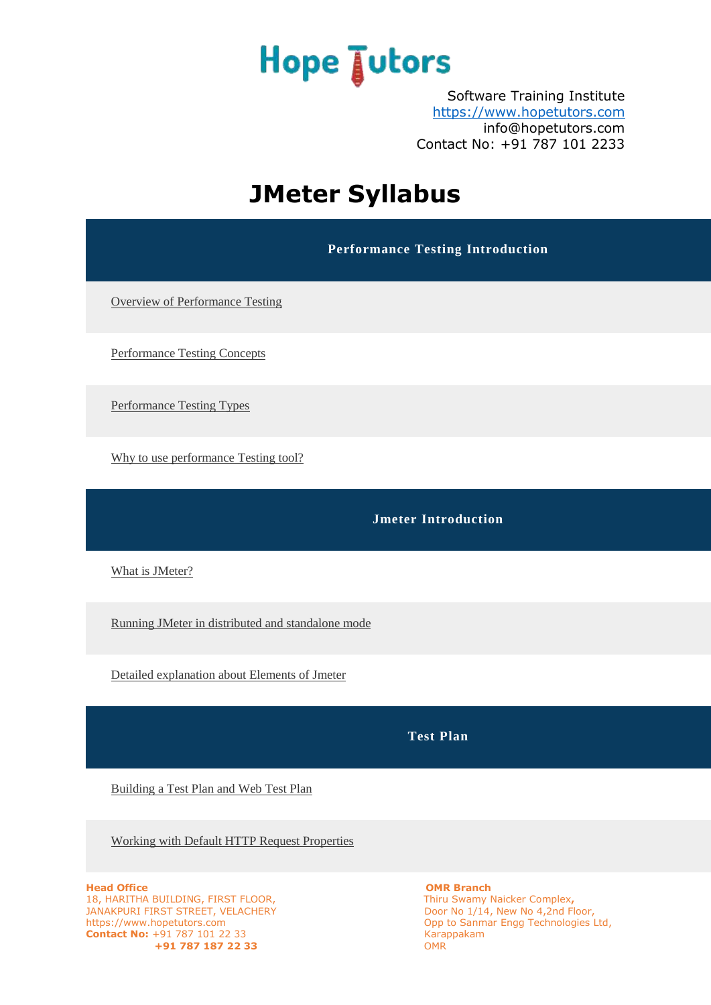Software Training Institute [https://www.hopetutors.com](https://www.hopetutors.com/) info@hopetutors.com Contact No: +91 787 101 2233

### **JMeter Syllabus**

**Performance Testing Introduction**

[Overview of Performance Testing](javascript:;)

[Performance Testing Concepts](javascript:;)

[Performance Testing Types](javascript:;)

[Why to use performance Testing tool?](javascript:;)

**Jmeter Introduction**

[What is JMeter?](javascript:;)

[Running JMeter in distributed and standalone mode](javascript:;)

[Detailed explanation about Elements of Jmeter](javascript:;)

**Test Plan**

[Building a Test Plan and Web Test Plan](javascript:;)

[Working with Default HTTP Request Properties](javascript:;)

**Head Office**<br> **HEAD IS, HARITHA BUILDING, FIRST FLOOR,**<br> **COMR Branch**<br> **OMR Branch**<br> **OMR Branch**<br> **OMR Branch**<br> **OMR Branch**<br> **OMR Branch** 18, HARITHA BUILDING, FIRST FLOOR, JANAKPURI FIRST STREET, VELACHERY DOOR OF NO 1/14, New No 4,2nd Floor, https://www.hopetutors.com opp to Sanmar Engg Technologies L **Contact No:** +91 787 101 22 33<br> **CONTEX 187 187 22 33**<br>
OMR  $+91$  787 187 22 33

Opp to Sanmar Engg Technologies Ltd,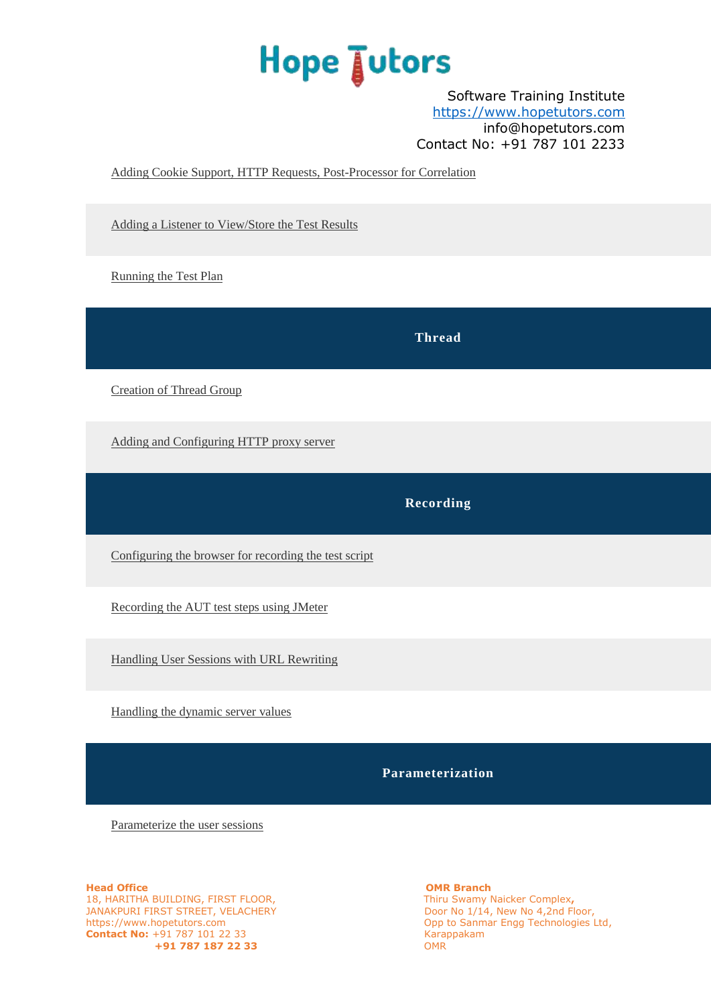Software Training Institute [https://www.hopetutors.com](https://www.hopetutors.com/) info@hopetutors.com Contact No: +91 787 101 2233

[Adding Cookie Support, HTTP Requests, Post-Processor for Correlation](javascript:;)

[Adding a Listener to View/Store the Test Results](javascript:;)

[Running the Test Plan](javascript:;)

**Thread**

[Creation of Thread Group](javascript:;)

[Adding and Configuring HTTP proxy server](javascript:;)

**Recording**

[Configuring the browser for recording the test script](javascript:;)

[Recording the AUT test steps using JMeter](javascript:;)

[Handling User Sessions with URL Rewriting](javascript:;)

[Handling the dynamic server values](javascript:;)

**Parameterization**

[Parameterize the user sessions](javascript:;)

**Head Office Community Community Community Community Community Community Community Community Community Community** 18, HARITHA BUILDING, FIRST FLOOR, Thiru Swamy Naicker Complex**,** JANAKPURI FIRST STREET, VELACHERY DOOR NO 1/14, New No 4,2nd Floor, https://www.hopetutors.com 0pp to Sanmar Engg Technologies **Contact No:** +91 787 101 22 33<br> **491 787 187 22 33** COMR OMR  $+91$  787 187 22 33

Opp to Sanmar Engg Technologies Ltd,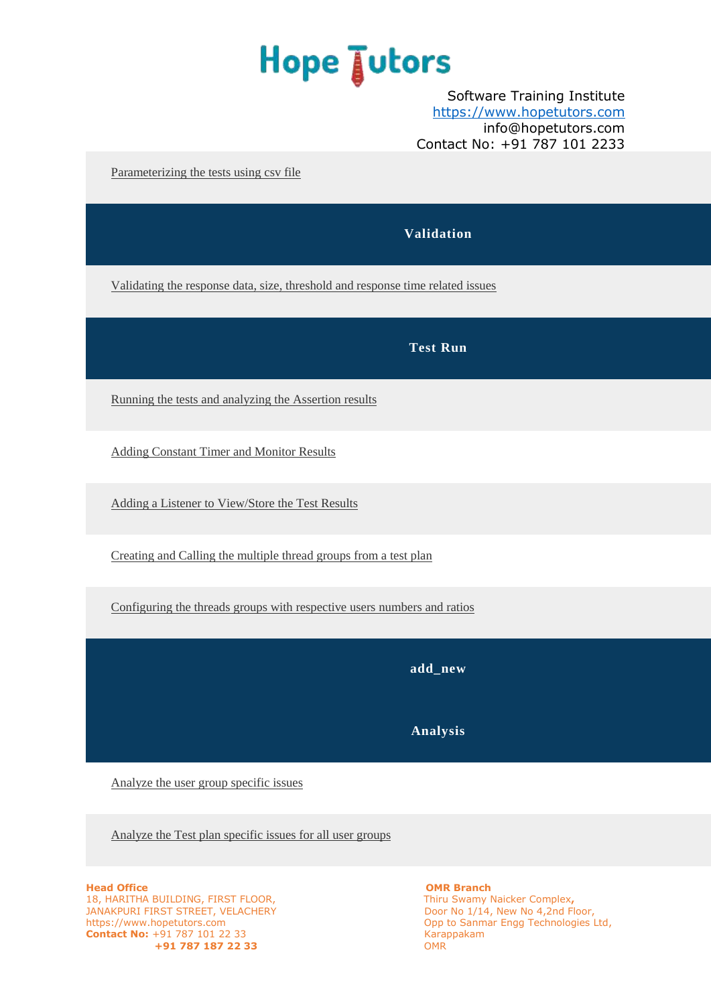### Software Training Institute [https://www.hopetutors.com](https://www.hopetutors.com/) info@hopetutors.com Contact No: +91 787 101 2233

[Parameterizing the tests using csv file](javascript:;)

### **Validation**

[Validating the response data, size, threshold and response time related issues](javascript:;)

### **Test Run**

[Running the tests and analyzing the Assertion results](javascript:;)

Adding Constant [Timer and Monitor Results](javascript:;)

[Adding a Listener to View/Store the Test Results](javascript:;)

[Creating and Calling the multiple thread groups from a test plan](javascript:;)

[Configuring the threads groups with respective users numbers and ratios](javascript:;)

**add\_new**

**Analysis**

[Analyze the user group specific issues](javascript:;)

[Analyze the Test plan specific issues for all user groups](javascript:;)

**Head Office Community Community Community Community Community Community Community Community Community Community** 18, HARITHA BUILDING, FIRST FLOOR, Thiru Swamy Naicker Complex**,** JANAKPURI FIRST STREET, VELACHERY DOOR NO 1/14, New No 4,2nd Floor, https://www.hopetutors.comOpp to Sanmar Engg Technologies Ltd, **Contact No:** +91 787 101 22 33<br> **CONTEX 187 187 22 33**<br>
OMR  $+91$  787 187 22 33